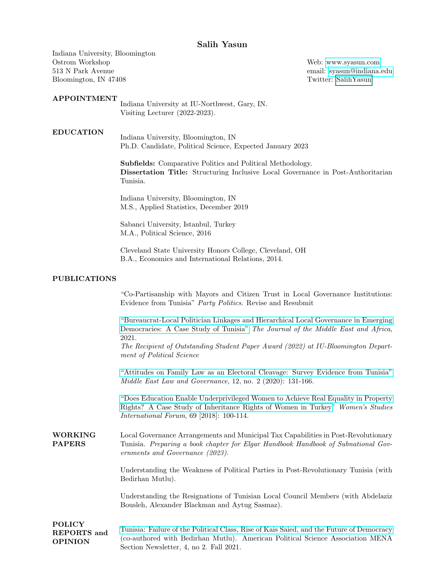# Salih Yasun

Indiana University, Bloomington Ostrom Workshop 513 N Park Avenue Bloomington, IN 47408

### APPOINTMENT

Indiana University at IU-Northwest, Gary, IN. Visiting Lecturer (2022-2023).

#### EDUCATION

Indiana University, Bloomington, IN Ph.D. Candidate, Political Science, Expected January 2023

Subfields: Comparative Politics and Political Methodology. Dissertation Title: Structuring Inclusive Local Governance in Post-Authoritarian Tunisia.

Indiana University, Bloomington, IN M.S., Applied Statistics, December 2019

Sabanci University, Istanbul, Turkey M.A., Political Science, 2016

Cleveland State University Honors College, Cleveland, OH B.A., Economics and International Relations, 2014.

#### PUBLICATIONS

"Co-Partisanship with Mayors and Citizen Trust in Local Governance Institutions: Evidence from Tunisia" Party Politics. Revise and Resubmit

["Bureaucrat-Local Politician Linkages and Hierarchical Local Governance in Emerging](https://www.tandfonline.com/doi/abs/10.1080/21520844.2021.1993682) [Democracies: A Case Study of Tunisia"](https://www.tandfonline.com/doi/abs/10.1080/21520844.2021.1993682) The Journal of the Middle East and Africa, 2021.

The Recipient of Outstanding Student Paper Award (2022) at IU-Bloomington Department of Political Science

["Attitudes on Family Law as an Electoral Cleavage: Survey Evidence from Tunisia"](https://brill.com/view/journals/melg/12/2/article-p131_131.xml) Middle East Law and Governance, 12, no. 2 (2020): 131-166.

["Does Education Enable Underprivileged Women to Achieve Real Equality in Property](https://www.sciencedirect.com/science/article/pii/S0277539518300451) [Rights? A Case Study of Inheritance Rights of Women in Turkey"](https://www.sciencedirect.com/science/article/pii/S0277539518300451) Women's Studies International Forum, 69 [2018]: 100-114.

WORKING PAPERS Local Governance Arrangements and Municipal Tax Capabilities in Post-Revolutionary Tunisia. Preparing a book chapter for Elgar Handbook Handbook of Subnational Governments and Governance (2023).

> Understanding the Weakness of Political Parties in Post-Revolutionary Tunisia (with Bedirhan Mutlu).

> Understanding the Resignations of Tunisian Local Council Members (with Abdelaziz Bousleh, Alexander Blackman and Aytug Sasmaz).

POLICY REPORTS and OPINION [Tunisia: Failure of the Political Class, Rise of Kais Saied, and the Future of Democracy](https://apsamena.org/wp-content/uploads/2021/10/APSA-Newsletter-F21.pdf) (co-authored with Bedirhan Mutlu). American Political Science Association MENA Section Newsletter, 4, no 2. Fall 2021.

Web:<www.syasun.com> email: [syasun@indiana.edu](mailto:syasun@indiana.edu) Twitter: SalihYasun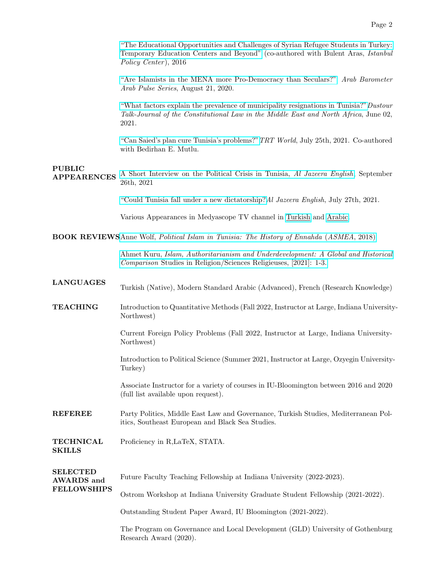["The Educational Opportunities and Challenges of Syrian Refugee Students in Turkey:](http://research.sabanciuniv.edu/29697/1/syrianrefugees.pdf) [Temporary Education Centers and Beyond"](http://research.sabanciuniv.edu/29697/1/syrianrefugees.pdf) (co-authored with Bulent Aras, Istanbul Policy Center ), 2016

["Are Islamists in the MENA more Pro-Democracy than Seculars?"](https://www.arabbarometer.org/2020/08/are-islamists-in-mena-more-pro-democracy-than-seculars/) Arab Barometer Arab Pulse Series, August 21, 2020.

["What factors explain the prevalence of municipality resignations in Tunisia?"](http://jcl-mena.org/talk-entry.php?bid=17)Dustour Talk-Journal of the Constitutional Law in the Middle East and North Africa, June 02, 2021.

["Can Saied's plan cure Tunisia's problems?"](https://www.trtworld.com/opinion/can-saied-s-plan-cure-tunisia-s-problems-50215)TRT World, July 25th, 2021. Co-authored with Bedirhan E. Mutlu.

### PUBLIC

APPEARENCES [A Short Interview on the Political Crisis in Tunisia,](https://www.youtube.com/watch?v=6GMJ9AidBwA) Al Jazeera English, September 26th, 2021

["Could Tunisia fall under a new dictatorship?](https://www.youtube.com/watch?v=V20QYRikCak&t=35s)Al Jazeera English, July 27th, 2021.

Various Appearances in Medyascope TV channel in [Turkish](https://www.youtube.com/watch?v=PgmHcFIYmJo&t=3272s) and [Arabic.](https://www.youtube.com/watch?v=phEufizyG04&t=1879s)

BOOK REVIEWSAnne Wolf, [Political Islam in Tunisia: The History of Ennahda](http://www.asmeascholars.org/publications/political-islam-in-tunisia-the-history-of-ennahda/) (ASMEA, 2018)

Ahmet Kuru, [Islam, Authoritarianism and Underdevelopment: A Global and Historical](https://journals.sagepub.com/doi/full/10.1177/00084298211000303?casa_token=TywISLd5q2AAAAAA:B-GQNIZ3FfO1tJ-GdkLPHkncNZCw8hFnCVS9i_o4Ok-1qpbilqz690DkjMxlVUSxqXatWD35Wz8v) Comparison [Studies in Religion/Sciences Religieuses, \[2021\]: 1-3.](https://journals.sagepub.com/doi/full/10.1177/00084298211000303?casa_token=TywISLd5q2AAAAAA:B-GQNIZ3FfO1tJ-GdkLPHkncNZCw8hFnCVS9i_o4Ok-1qpbilqz690DkjMxlVUSxqXatWD35Wz8v)

| <b>LANGUAGES</b>                                           | Turkish (Native), Modern Standard Arabic (Advanced), French (Research Knowledge)                                                        |
|------------------------------------------------------------|-----------------------------------------------------------------------------------------------------------------------------------------|
| <b>TEACHING</b>                                            | Introduction to Quantitative Methods (Fall 2022, Instructor at Large, Indiana University-<br>Northwest)                                 |
|                                                            | Current Foreign Policy Problems (Fall 2022, Instructor at Large, Indiana University-<br>Northwest)                                      |
|                                                            | Introduction to Political Science (Summer 2021, Instructor at Large, Ozyegin University-<br>Turkey)                                     |
|                                                            | Associate Instructor for a variety of courses in IU-Bloomington between 2016 and 2020<br>(full list available upon request).            |
| <b>REFEREE</b>                                             | Party Politics, Middle East Law and Governance, Turkish Studies, Mediterranean Pol-<br>itics, Southeast European and Black Sea Studies. |
| <b>TECHNICAL</b><br><b>SKILLS</b>                          | Proficiency in R,LaTeX, STATA.                                                                                                          |
| <b>SELECTED</b><br><b>AWARDS</b> and<br><b>FELLOWSHIPS</b> | Future Faculty Teaching Fellowship at Indiana University (2022-2023).                                                                   |
|                                                            | Ostrom Workshop at Indiana University Graduate Student Fellowship (2021-2022).                                                          |
|                                                            | Outstanding Student Paper Award, IU Bloomington (2021-2022).                                                                            |
|                                                            | The Program on Governance and Local Development (GLD) University of Gothenburg                                                          |

Research Award (2020).